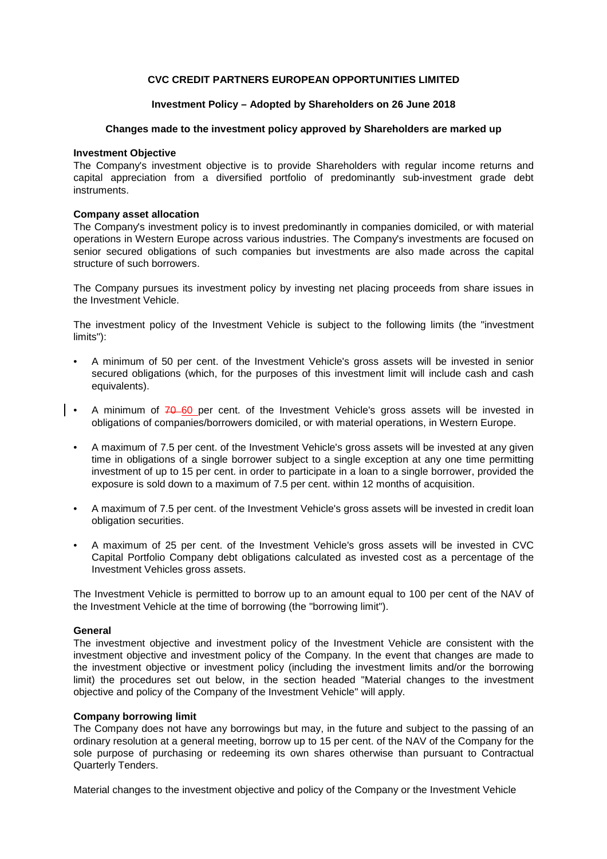# **CVC CREDIT PARTNERS EUROPEAN OPPORTUNITIES LIMITED**

## **Investment Policy - Adopted by Shareholders on 26 June 2018**

### **Changes made to the investment policy approved by Shareholders are marked up**

### **Investment Objective**

The Company's investment objective is to provide Shareholders with regular income returns and capital appreciation from a diversified portfolio of predominantly sub-investment grade debt instruments.

### **Company asset allocation**

The Company's investment policy is to invest predominantly in companies domiciled, or with material operations in Western Europe across various industries. The Company's investments are focused on senior secured obligations of such companies but investments are also made across the capital structure of such borrowers.

The Company pursues its investment policy by investing net placing proceeds from share issues in the Investment Vehicle.

The investment policy of the Investment Vehicle is subject to the following limits (the "investment limits"):

- A minimum of 50 per cent. of the Investment Vehicle's gross assets will be invested in senior secured obligations (which, for the purposes of this investment limit will include cash and cash equivalents).
- A minimum of  $70-60$  per cent. of the Investment Vehicle's gross assets will be invested in obligations of companies/borrowers domiciled, or with material operations, in Western Europe.
	- A maximum of 7.5 per cent, of the Investment Vehicle's gross assets will be invested at any given time in obligations of a single borrower subject to a single exception at any one time permitting investment of up to 15 per cent. in order to participate in a loan to a single borrower, provided the exposure is sold down to a maximum of 7.5 per cent. within 12 months of acquisition.
	- A maximum of 7.5 per cent. of the Investment Vehicle's gross assets will be invested in credit loan obligation securities.
	- A maximum of 25 per cent. of the Investment Vehicle's gross assets will be invested in CVC Capital Portfolio Company debt obligations calculated as invested cost as a percentage of the Investment Vehicles gross assets.

The Investment Vehicle is permitted to borrow up to an amount equal to 100 per cent of the NAV of the Investment Vehicle at the time of borrowing (the "borrowing limit").

#### **General**

The investment objective and investment policy of the Investment Vehicle are consistent with the investment objective and investment policy of the Company. In the event that changes are made to the investment objective or investment policy (including the investment limits and/or the borrowing limit) the procedures set out below, in the section headed "Material changes to the investment objective and policy of the Company of the Investment Vehicle" will apply.

## **Company borrowing limit**

The Company does not have any borrowings but may, in the future and subject to the passing of an ordinary resolution at a general meeting, borrow up to 15 per cent. of the NAV of the Company for the sole purpose of purchasing or redeeming its own shares otherwise than pursuant to Contractual Quarterly Tenders.

Material changes to the investment objective and policy of the Company or the Investment Vehicle